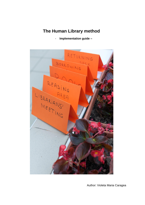# **The Human Library method**

- **Implementation guide –**



Author: Violeta Maria Caragea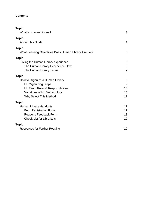# **Contents**

<span id="page-1-0"></span>

| <b>Topic</b><br>What is Human Library?               | 3              |
|------------------------------------------------------|----------------|
| <b>Topic</b><br><b>About This Guide</b>              | $\overline{4}$ |
| <b>Topic</b>                                         |                |
| What Learning Objectives Does Human Library Aim For? | 5              |
| <b>Topic</b>                                         |                |
| Living the Human Library experience                  | 6              |
| The Human Library Experience Flow                    | 6              |
| The Human Library Terms                              | $\overline{7}$ |
| <b>Topic</b>                                         |                |
| How to Organize a Human Library                      | 9              |
| <b>HL Organizing Steps</b>                           | 9              |
| HL Team Roles & Responsibilities                     | 15             |
| Variations of HL Methodology                         | 16             |
| Why Select This Method                               | 17             |
| <b>Topic</b>                                         |                |
| Human Library Handouts                               | 17             |
| <b>Book Registration Form</b>                        | 17             |
| Reader's Feedback Form                               | 18             |
| <b>Check List for Librarians</b>                     | 19             |
| <b>Topic</b>                                         |                |
| <b>Resources for Further Reading</b>                 | 19             |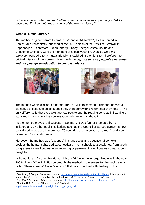<span id="page-2-0"></span>*"How are we to understand each other, if we do not have the opportunity to talk to each other?" - Ronni Abergel, Inventor of the Human Library™*

# **What is Human Library?**

The method originates from Denmark ("Menneskebiblioteket", as it is named in Danish) and it was firstly launched at the 2000 edition of the Roskilde Festival, in Copenhagen. Its creators - Ronni Abergel, Dany Abergel, Asma Mouna and Christoffer Erichsen, were the members of a local youth NGO called *Stop the Violence*, founded after a mutual friend was stabbed in the nightlife. Therefore, the original mission of the Human Library methodology was *to raise people's awareness and use peer group education to combat violence.*





The method works similar to a normal library - visitors come to a librarian, browse a catalogue of titles and select a book they then borrow and return after they read it. The only difference is that the books are real people and the reading consists in listening a story and involving in a live conversation with the author about it.

As the method proved real success in Denmark, it was further promoted by its initiators and by other public institutions such as the Council of Europe  $(CoE)^1$ . Is now considered to be used in more than 70 countries and perceived as a real "worldwide movement for social change"<sup>2</sup>.

Moreover, the method was "exported" in many social and educational contexts besides the human rights dedicated festivals - from schools to art galleries, from youth congresses to real libraries. Also, recurring or permanent living libraries spread around the globe.

In Romania, the first notable Human Library (HL) event ever organized was in the year 2009<sup>3</sup>. The NGO A.R.T. Fusion brought the method in the streets for the public event called "Have a lemon! Taste Diversity!", that was organized with the help of the

<sup>3</sup>Check A.R.T. Fusion's "Human Library" Guide at:

-

[http://www.artfusion.ro/docs/ghid\\_biblioteca\\_vie\\_eng.pdf](http://www.artfusion.ro/docs/ghid_biblioteca_vie_eng.pdf)

<sup>1</sup> See *Living Library - History* section from [http://www.coe.int/en/web/youth/living-library.](http://www.coe.int/en/web/youth/living-library) It is important to note that CoE is disseminating the method since 2003 under the "Living Library" name. <sup>2</sup>See *About the Human Library* section from<http://humanlibrary.org/about-the-human-library/>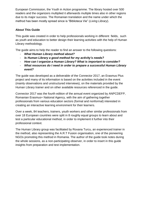European Commission, the Youth in Action programme. The library hosted over 500 readers and the organizers multiplied it afterwards multiple times also in other regions due to its major success. The Romanian translation and the name under which the method has been mostly spread since is "Biblioteca Vie" (*Living Library*).

# <span id="page-3-0"></span>**About This Guide**

This guide was created in order to help professionals working in different fields, such as youth and education to better design their learning activities with the help of Human Library methodology.

The guide aims to help the reader to find an answer to the following questions:

- *What Human Library method about?*
- *Is Human Library a good method for my activity's needs?*
- *How can I organize a Human Library? What is important to consider?*
- *What resources do I need in order to prepare a successful Human Library event?*

The guide was developed as a deliverable of the Connector 2017, an Erasmus Plus project and many of its information is based on the activities included in the event (mainly observations and unstructured interviews), on the materials provided by the Human Library trainer and on other available resources referenced in the guide.

Connector 2017 was the fourth edition of the annual event organized by ANPCDEFP, Romanian Erasmus+ National Agency, with the aim of gathering together professionals from various education sectors (formal and nonformal) interested in creating an interactive learning environment for their learners.

Over a week, 84 teachers, trainers, youth workers and other similar professionals from over 18 European countries were split in 8 roughly equal groups to learn about and test a particular educational method, in order to implement it further into their professional context.

The Human Library group was facilitated by Roxana Turcu, an experienced trainer in the method, also representing the A.R.T Fusion organisation, one of the pioneering NGOs promoting this method in Romania. The author of the guide took notes during the whole sessions, as a non-participating observer, in order to insert in this guide insights from preparation and test implementation.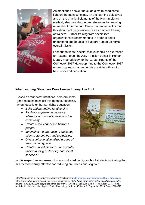

As mentioned above, the guide aims to shed some light on the main concepts, on the learning objectives and on the practical elements of the Human Library method, also providing future references for learning more about the method. One important aspect is that this should not be considered as a complete training of trainers. Further training from specialized organizations is recommended in order to better understand and be able to support Human Library's overall mission.

Last but not least, special thanks should be expressed to Roxana Turcu, the A.R.T. Fusion trainer in Human Library methodology, to the 11 participants of the Connector 2017 HL group, and to the Connector 2017 organizing team that made this possible with a lot of hard work and dedication.

#### **What Learning Objectives Does Human Library Aim For?**

Based on founders' intentions, here are some good reasons to select this method, especially when focus is on human rights education :

- *Build understanding for diversity;*
- *Facilitate a greater acceptance, tolerance and social cohesion in the community;*
- *Create a real connection between people;*
- *Innovating the approach to challenge stigma, stereotypes and prejudicies;*
- *Give a voice to stigmatized groups of the community, and*
- *Create support platforms for a greater understanding of diversity and social cohesion.*<sup>4</sup>

-



In this respect, recent research was conducted on high-school students indicating that this method is truly effective for reducing prejudices and stigma.<sup>5</sup>

<sup>4</sup>See*Why become a Human Library organizer?*section from<http://humanlibrary.org/human-library-organizers/> <sup>5</sup>See *Don't judge a living book by its cover: effectiveness of the living library intervention in reducing prejudice toward Roma and LGBT people* academic paper by G. Orosz, E. Bánki, B. Bőthe, I.Tóth-Király, L. R. Tropp, published in the Journal of Applied Social Psychology, Volume 46, Issue 9, September 2016, Pages 510–517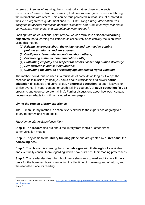In terms of theories of learning, the HL method is rather close to the social constructivist<sup>6</sup> view on learning, meaning that new knowledge is constructed through the interactions with others. This can be thus perceived in what Little et al stated in their 2011 organizer's guide mentioned : "(...) *the Living Library intervention was designed to facilitate interaction between "Readers" and "Books" in ways that make conversation meaningful and engaging between groups"*<sup>7</sup> .

Looking from an educational point of view, we can formulate **sixspecificlearning objectives** that a learning facilitator could collectively or selectively focus on while using this method:

- (1) *Raising awareness about the existence and the need to combat prejudices, stigma, and stereotypes;*
- (2) *Clarifying existing misconceptions about others;*
- (3) *Developing authentic communication skills;*
- (4) *Cultivating empathy and respect for others / accepting human diversity;*
- (5) *Self-awareness and self-exploration;*
- (6) *Cultivating the attitude of reacting against human rights violation.*

The method could thus be used in a multitude of contexts as long as it keeps the essence of its mission (*to help you see a book's story behind its cover*): **formal education** (in schools and universities), **nonformal education** (at open festivals or similar events, in youth centers, or youth training courses), or **adult education** (in VET programs and even corporate training). Further discussions about how each context necessitates adaptation will be included in next pages.

# <span id="page-5-0"></span>**Living the Human Library experience**

The Human Library method in action is very similar to the experience of going to a library to borrow and read books.

# <span id="page-5-1"></span>*The Human Library Experience Flow*

**Step 1:** The **readers** find out about the library from media or other direct communication means

**Step 2:** They come to the **library building/place** and are greeted by a **librarian**at the **borrowing desk**

**Step 3:** The librarian is showing them the **catalogue** with the**livingbooks**available and eventually consult them regarding which book suits best their reading preferences

**Step 4:** The reader decides which book he or she wants to read and fills in a **library pass** for the borrowed book, mentioning the tile, time of borrowing and of return, and the allocated place for reading

-

<sup>6</sup>See *Social Constructivism* section from[: http://gsi.berkeley.edu/gsi-guide-contents/learning-theory-research/social](http://gsi.berkeley.edu/gsi-guide-contents/learning-theory-research/social-constructivism/)[constructivism/](http://gsi.berkeley.edu/gsi-guide-contents/learning-theory-research/social-constructivism/)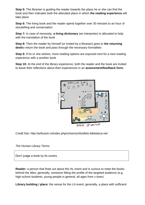**Step 5:** The librarian is guiding the reader towards the place he or she can find the book and then indicates both the allocated place in which **the reading experience** will take place

**Step 6:** The living book and the reader spend together over 30 minutes to an hour of storytelling and conversation

**Step 7:** In case of necessity, **a living dictionary** (an interpreter) is allocated to help with the translation of the book

**Step 8:** Then the reader by himself (or invited by a librarian) goes to **the returning desk**to return the book and pass through the necessary formalities

**Step 9:** If he or she wishes, more reading options are exposed next for a new reading experience with a another book

**Step 10:** At the end of the library experience, both the reader and the book are invited to leave their reflections about their experiences in an **assessment/feedback form.**

<span id="page-6-0"></span>

Credit foto: http://artfusion.ro/index.php/ro/servicii/toolkits-biblioteca-vie/

#### *The Human Library Terms*

Don't judge a book by its covers.

**Reader:** a person that finds out about the HL event and is curious to meet the books behind the titles; generally, someone fitting the profile of the targeted audience (e.g. high-school students, young people in general, all ages from x town)

**Library building / place:** the venue for the LH event; generally, a place with sufficient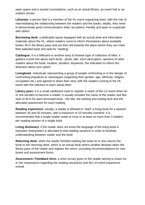open space and a neutral connotations, such as an actual library, an event hall or an outdoor terrain

**Librarian:** a person that is a member of the HL event organizing team, with the role of intermediating the relationship between the readers and the books; ideally, they need to demonstrate good communication skills, be patient, friendly and open to cooperate with others

**Borrowing desk:** a dedicated space equipped with an actual desk and informative materials about the HL, where readers come to inform themselves about available books, fill in the library pass and are then led towards the place where they can meet their selected book and seat for "reading"

**Catalogue:** it is a billboard or another easy to browse type of collection of titles; it gathers a brief info about each book - photo, title, short description, opinions of other readers about the book, location, duration, keywords, the indication to inform the librarians about your option

**Livingbook**: individuals representing a group of people confronting or in the danger of confronting prejudices or stereotypes (regarding their gender, age, ethnicity, religion, occupation etc.) and agreed to share their story with the readers coming to the HL event with the intention to learn about them

**Library pass:** it is a small cardboard used to register a visitor of the LH event when he or she decides to become a reader; it usually includes the name of the reader and few slots to fill in for each borrowed book - the title, the starting and ending time and the allocated space/room for each reading

**Reading experience**: usually, a reader is allowed to "read" a living book for a session between 30 and 50 minutes, with a maximum of 10 minutes overtime; it is recommended that a single reader reads at once or at least no more than 3 readers per reading session of a single book

**Living dictionary**: if the reader does not know the language of the living book a translator (interpreter) is allocated to that reading sessions in order to facilitate understanding between reader and the book

**Returning desk:** when the reader finished reading the book he or she returns the book to the returning desk, which is an actual desk where another librarian takes the library pass of the reader and register the return, providing recommendations for new books and assessment forms

**Assessment / Feedback form:** a short survey given to the reader aiming to share his or her impressions regarding the reading session(s) and the LH event experience overall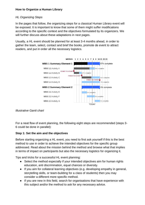# <span id="page-8-0"></span>**How to Organize a Human Library**

#### <span id="page-8-1"></span>*HL Organizing Steps*

In the pages that follow, the organizing steps for a classical Human Library event will be exposed. It is important to know that some of them might suffer modifications according to the specific context and the objectives formulated by its organizers. We will further discuss about these adaptations in next pages.

Usually, a HL event should be planned for at least 3-4 months ahead, in order to gather the team, select, contact and brief the books, promote de event to attract readers, and put in order all the necessary logistics.



#### *Illustrative Gantt chart*

For a neat flow of event planning, the following eight steps are recommended (steps 3- 6 could be done in parallel):

#### **Step 1: Set the aim and the objectives**

Before starting organizing a HL event, you need to first ask yourself if this is the best method to use in order to achieve the intended objectives for the specific group addressed. Read about the mission behind the method and browse what that implies in terms of impact on participants but also the necessary logistics for organizing it.

Tips and tricks for a successful HL event planning:

- Select the method especially if your intended objectives aim for human rights education, anti discrimination, equal chances or diversity.
- If you aim for collateral learning objectives (e.g. developing empathy in general, storytelling skills, or team-building for a class of students) then you may consider a different more specific method.
- If you are new in this field, search for organisations that have experience with this subject and/or the method to ask for any necessary advice.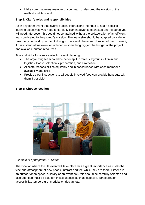● Make sure that every member of your team understand the mission of the method and its specific.

#### **Step 2: Clarify roles and responsibilities**

As in any other event that involves social interactions intended to attain specific learning objectives, you need to carefully plan in advance each step and resource you will need. Moreover, this could not be attained without the collaboration of an efficient team dedicated to the project's mission. The team size should be adapted considering how many books do you plan to bring to the event, the actual duration of the HL event, if it is a stand alone event or included in something bigger, the budget of the project and available human resources.

Tips and tricks for a successful HL event planning:

- The organizing team could be better split in three subgroups Admin and logistics, Books selection & preparation, and Promotion.
- Allocate responsibilities equitably and in concordance with each member's availability and skills.
- Provide clear instructions to all people involved (you can provide handouts with them if possible).

#### **Step 3: Choose location**



#### *Example of appropriate HL Space*

The location where the HL event will take place has a great importance as it sets the vibe and atmosphere of how people interact and feel while they are there. Either it is an outdoor open space, a library or an event hall, this should be carefully selected and also attention must be paid for critical aspects such as capacity, transportation, accessibility, temperature, modularity, design, etc.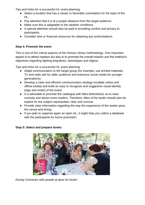Tips and tricks for a successful HL event planning:

- Select a location that has a neuter or favorable connotation for the topic of the HL.
- Pay attention that it is at a proper distance from the target audience.
- Make sure this is adaptable to the weather conditions.
- A special attention shoudl also be paid to providing comfort and privacy to participants.
- Consider time or financial resources for obtaining any authorisations.

# **Step 4: Promote the event**

This is one of the critical aspects of the Human Library methodology. One important aspect is to attract readers but also si to promote the overall mission and the method's objectives regarding fighting prejudices, stereotypes and stigma.

Tips and tricks for a successful HL event planning:

- Adapt communication to the target group (for example, use printed materials, TV and radio ads for older audience and extensive social media for younger generations).
- Develop a clear and efficient communication strategy (multiple online and offline media) and build an easy to recognize and suggestive visual identity (logo and motto) of the event.
- It is advisable to promote the catalogue with titles beforehand, as to raise curiosity and attract more readers. Therefore, titles of the books should also be explicit for the subject represented, clear and concise.
- Provide clear information regarding the way the experience of the reader goes, the venue and timing.
- If you plan to organize again an open HL, it might help you collect a database with the participants for future promotion.



# **Step 5: Select and prepare books**

*During Connector with people at qeue for books*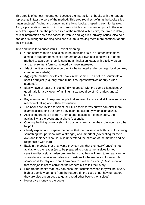This step is of utmost importance, because the interaction of books with the readers represents in fact the core of the method. This step requires defining the books titles (main subjects), finding and contacting the living books, preparing each for its role. Also, a preparation meeting with the books is highly recommended prior to the event to better explain them the practicalities of the method with its aim, their role in detail, critical information about the schedule, venue and logistics, privacy issues, also do's and don't's during the reading sessions etc., thus making them more confident about their mission.

Tips and tricks for a successful HL event planning:

- Good sources to find books could be dedicated NGOs or other institutions aiming to support them, social centers or your own social network. A good method to approach them is sending an invitation letter, with a follow-up call and an enrolment form completed by those interested.
- Adapt the titles selection according to the targeted audience (age, local context, common misbeliefs).
- Aggregate multiple profiles of books in the same HL as not to discriminate a specific subject (e.g. only roma minorities representatives or only bullied students).
- Ideally have at least 2-3 "copies" (living books) with the same title/subject. A good ratio for a LH event of minimum size would be of 40 readers and 10 books.
- Pay attention not to expose people that suffered trauma and still have sensitive reaction of telling about their experience.
- The books are invited to select their titles themselves but we can offer them examples including the name they might be called by when stigmatized.
- Also is important to ask from them a brief description of their story, their availability at the event and a photo (optional).
- Offering the living books a short instruction sheet about their role would also be helpful.
- Clearly explain and prepare the books that their mission is both difficult (sharing something that personal with a stranger) and important (advocating for their own and their peers cause, also understand the mission of the method and be responsible with that).
- Explain the books that at anytime they can say that their story/"page" is not available to the reader (so to be prepared to protect themselves for too sensitive discussions). Also prepare them that they will need to repeat, say no, share details, receive and also ask questions to the readers if, for example, someone is too shy and don't know how to start the "reading". Also, mention that their job is not to convince the readers but to tell their story.
- Prepare the books that they can encounter situations when they will be in very high or very low demand from the readers (in the case of not having readers, they are also encouraged to go and read other books themselves).
- Never give money to the books!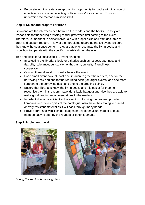● Be careful not to create a self-promotion opportunity for books with this type of objective (for example, selecting politicians or VIPs as books). This can undermine the method's mission itself.

#### **Step 6: Select and prepare librarians**

Librarians are the intermediaries between the readers and the books. So they are responsible for the feeling a visiting reader gets when first coming to the event. Therefore, is important to select individuals with proper skills and attitudes, able to greet and support readers in any of their problems regarding the LH event. Be sure they know the catalogue content, they are able to recognize the living books and know how to operate with the specific materials during the event.

Tips and tricks for a successful HL event planning:

- In selecting the librarians look for attitudes such as respect, openness and flexibility, tolerance, punctuality, enthusiasm, curiosity, friendliness, cooperation.
- Contact them at least two weeks before the event.
- For a small event have at least one librarian to greet the readers, one for the borrowing desk and one for the returning desk (for larger events, add one more librarian to the borrowing desk and one to the greeting poing).
- Ensure that librarians know the living books and it is easier for them to recognise them in the room (have identifiable badges) and also they are able to make good reading recommendations to the readers.
- In order to be more efficient at the event in informing the readers, provide librarians with more copies of the catalogue. Also, have the catalogue printed on very resistant material as it will pass through many hands.
- Provide librarians with T-shirts, badges or any other visual marker to make them be easy to spot by the readers or other librarians.

# **Step 7: Implement the HL**



*During Connector- borrowing desk* 

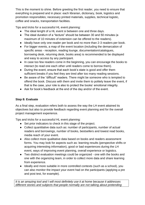This is the moment to shine. Before greeting the first reader, you need to ensure that everything is prepared and in place: each librarian, dictionary, book, logistics and promotion responsibles; necessary printed materials, supplies, technical logistic, coffee and snacks, transportation facilities.

Tips and tricks for a successful HL event planning:

- The ideal lenght of a HL event si between one and three days.
- The ideal duration of a "lecture" should be between 30 and 50 minutes (a maximum of 10 minutes of extension can be offered to the readers).
- Ideally have only one reader per book and no more than 2-3 readers per book.
- For bigger events, a map of the event location (including the demarcation of specific areas - reception, reading lounge, documentation/catalogues, borrowing desk, returning desk, books area) is recommended to be displayed and easy to access by any participant.
- In case too few readers come in the beginning, you can encourage the books to interact (to read one each other until readers come to borrow them).
- During the event, ensure that each book's state is good and offer them sufficient breaks if you feel they are tired after too many reading sessions.
- Be aware of the "difficult" readers. There might be someone who is tempted to offend the book. Discuss with them and invite them to politely leave the event, if that is the case, your role is also to protect the books' emotional integrity.
- Ask for book's feedback at the end of the day and/or of the event.

#### **Step 8: Evaluate**

As a final step, evaluation refers both to assess the way the LH event attained its objectives but also to provide feedback regarding event planning and for the overall project management experience.

Tips and tricks for a successful HL event planning:

- Set prior indicators to check in this stage of the project.
- Collect quantitative data such as: number of participants, number of actual readers and borrowings, number of books, bestsellers and lowest read books, media reach of your event.
- Also collect more qualitative data based on books and readers assessment forms. You may look for aspects such as: learning results (perspective shifts or acquiring interesting information), good or bad experiences during the LH event, ways of improving event planning, overall experience or logistics.
- Two distinct evaluation meetings could be organized one with the books and one with the organizing team, in order to collect more data and share learning from experience.
- Ideally and more suitable in more controlled contexts (such as a school), you can also monitor the impact your event had on the participants (applying a pre and post test, for example).

*It is an amazing tool and I will most definitely use it at home because it addresses different stories and subjects that people normally are not talking about pretending*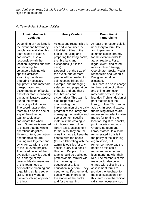<span id="page-14-0"></span>

| <b>HL Team Roles &amp; Responsibilities</b> |  |  |  |  |  |  |  |  |
|---------------------------------------------|--|--|--|--|--|--|--|--|
|---------------------------------------------|--|--|--|--|--|--|--|--|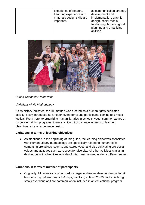

# *During Connector teamwork*

# <span id="page-15-0"></span>*Variations of HL Methodology*

As its history indicates, the HL method was created as a human rights dedicated activity, firstly introduced as an open event for young participants coming to a music festival. From here, to organizing human libraries in schools, youth summer camps or corporate training programs, there is a little bit of distance in terms of learning objectives, size or experience design.

# **Variations in terms of learning objectives**

● As mentioned in the beginning of this guide, the learning objectives associated with Human Library methodology are specifically related to human rights, combating prejudices, stigma, and stereotypes, and also cultivating pro-social values and attitudes such as respect for diversity. All other activities similar in design, but with objectives outside of this, must be used under a different name.

# **Variations in terms of number of participants**

● Originally, HL events are organized for larger audiences (few hundreds), for at least one day (afternoon) or 3-4 days, involving at least 20-30 books. Although, smaller versions of it are common when included in an educational program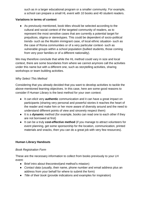such as in a larger educational program or a smaller community. For example, a school can prepare a small HL event with 10 books and 40 student readers.

#### **Variations in terms of context**

● As previously mentioned, book titles should be selected according to the cultural and social context of the targeted community of readers, as to represent the most sensitive cases that are currently a potential target for prejudices, stigma or stereotypes. This could be dependent of socio-political trends- such as the Muslim immigrant case, of local ethnic situation- such as the case of Roma communities or of a very particular context- such as vulnerable groups within a school population (bullied students, those coming from very poor families or of a different nationality).

We may therefore conclude that while the HL method could vary in size and local context, there are some boundaries from where we cannot anymore call the activities under this name but with a different one, such as storytelling activities, sharing workshops or team building activities.

#### <span id="page-16-0"></span>*Why Select This Method*

Considering that you already decided that you want to develop activities to tackle the above-mentioned learning objectives. In this case, here are some good reasons to consider if Human Library is the best method for your own context:

- It can elicit very **authentic** communication and it can have a great impact on participants (sharing very personal and powerful stories it reaches the heart of the reader and make him or her more aware of diversity around and the need to understand different points of view and sincerely respect them)
- It is a **dynamic** method (for example, books can read one to each other if they are not borrowed at first)
- It can be a truly **cost-effective method** (if you manage to attract volunteers for event planning, get some sponsorship for the location, communication, printed materials and snacks, then you can do a great job with very few resources).

# <span id="page-16-1"></span>**Human Library Handouts**

#### <span id="page-16-2"></span>*Book Registration Form*

These are the necessary information to collect from books previously to your LH event:

- Brief intro about the*context*(and method's mission)
- *Contact data* (usually, their name, phone number and email address plus an address from your behalf for where to submit the form)
- *Title of their book* (provide indications and examples for inspiration)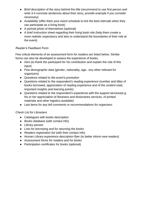- *Brief description* of the story behind the title (recommend to use first person and write 3-4 concrete sentences about their story, provide example if you consider necessary)
- *Availability* (offer them your event schedule to tick the best intervals when they can participate as a living book)
- A portrait *photo* of themselves (optional)
- A *brief instruction* sheet regarding their living book role (help them create a more realistic expectancy and also to understand the boundaries of their role at the event)

# <span id="page-17-0"></span>*Reader's Feedback Form*

Few critical elements of an assessment form for readers are listed below. Similar forms can also be developed to assess the experience of books.

- *Intro* (to thank the participant for his contribution and explain the role of this input)
- Few *demographic data* (gender, nationality, age.. any other relevant for organizers)
- Questions related to *the event's promotion*
- Questions related to *the respondent's reading experience* (number and titles of books borrowed, appreciation of reading experience and of the content read, important insights and learning points)
- Questions related to *the respondent's experience with the support services*(e.g. his or her appreciation of librarians and dictionaries services, of printed materials and other logistics available)
- Last items for *any left comments or recommendations for organizers*

# <span id="page-17-1"></span>*Check List for Librarians*

- *Catalogues* with books description
- *Books database* (with contact info)
- *Library passes*
- *Lists for borrowing and for returning* the books
- *Readers registration list* (with their contact info)
- *Human Library experience description flyer* (to better inform new readers)
- *Assessment forms* for readers and for books
- <span id="page-17-2"></span>● Participation *certificates for books* (optional)